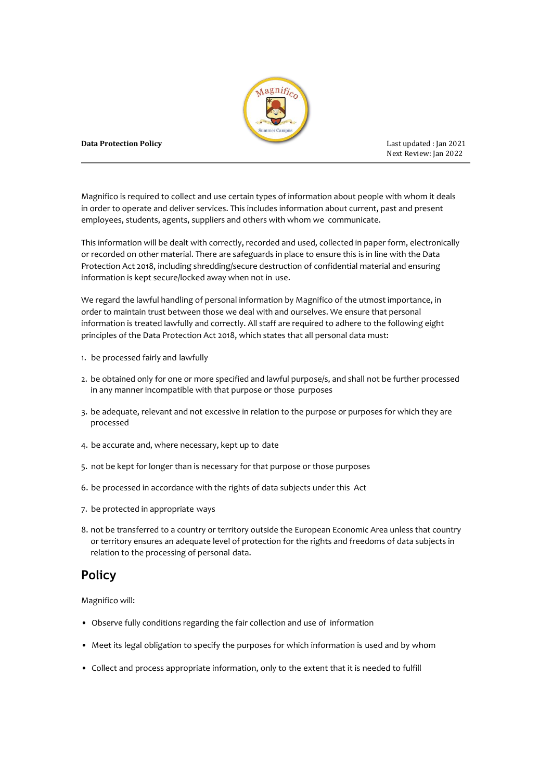

#### **Data Protection Policy** Last updated : Jan 2021

Next Review: Jan 2022

Magnifico is required to collect and use certain types of information about people with whom it deals in order to operate and deliver services. This includes information about current, past and present employees, students, agents, suppliers and others with whom we communicate.

This information will be dealt with correctly, recorded and used, collected in paper form, electronically or recorded on other material. There are safeguards in place to ensure this is in line with the Data Protection Act 2018, including shredding/secure destruction of confidential material and ensuring information is kept secure/locked away when not in use.

We regard the lawful handling of personal information by Magnifico of the utmost importance, in order to maintain trust between those we deal with and ourselves. We ensure that personal information is treated lawfully and correctly. All staff are required to adhere to the following eight principles of the Data Protection Act 2018, which states that all personal data must:

- 1. be processed fairly and lawfully
- 2. be obtained only for one or more specified and lawful purpose/s, and shall not be further processed in any manner incompatible with that purpose or those purposes
- 3. be adequate, relevant and not excessive in relation to the purpose or purposes for which they are processed
- 4. be accurate and, where necessary, kept up to date
- 5. not be kept for longer than is necessary for that purpose or those purposes
- 6. be processed in accordance with the rights of data subjects under this Act
- 7. be protected in appropriate ways
- 8. not be transferred to a country or territory outside the European Economic Area unless that country or territory ensures an adequate level of protection for the rights and freedoms of data subjects in relation to the processing of personal data.

# **Policy**

Magnifico will:

- Observe fully conditions regarding the fair collection and use of information
- Meet its legal obligation to specify the purposes for which information is used and by whom
- Collect and process appropriate information, only to the extent that it is needed to fulfill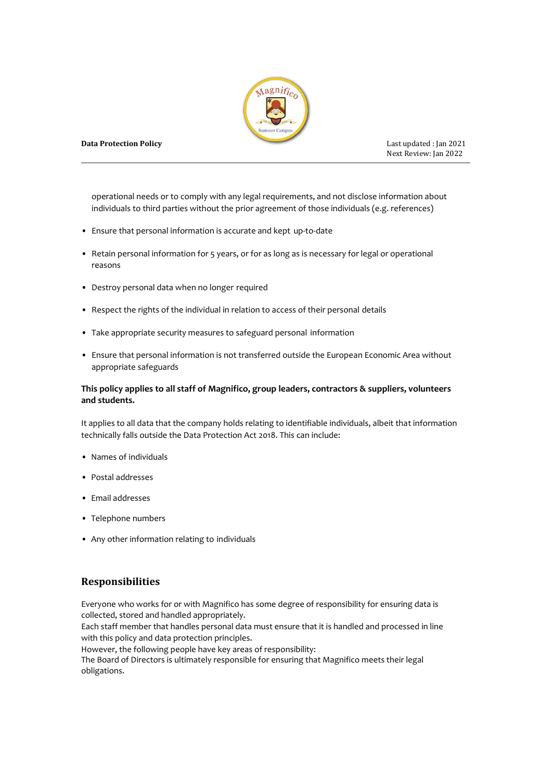

Next Review: Jan 2022

operational needs or to comply with any legal requirements, and not disclose information about individuals to third parties without the prior agreement of those individuals (e.g. references)

- Ensure that personal information is accurate and kept up-to-date
- Retain personal information for 5 years, or for as long as is necessary for legal or operational reasons
- Destroy personal data when no longer required
- Respect the rights of the individual in relation to access of their personal details
- Take appropriate security measures to safeguard personal information
- Ensure that personal information is not transferred outside the European Economic Area without appropriate safeguards

### **This policy applies to all staff of Magnifico, group leaders, contractors & suppliers, volunteers and students.**

It applies to all data that the company holds relating to identifiable individuals, albeit that information technically falls outside the Data Protection Act 2018. This can include:

- Names of individuals
- Postal addresses
- Email addresses
- Telephone numbers
- Any other information relating to individuals

# **Responsibilities**

Everyone who works for or with Magnifico has some degree of responsibility for ensuring data is collected, stored and handled appropriately.

Each staff member that handles personal data must ensure that it is handled and processed in line with this policy and data protection principles.

However, the following people have key areas of responsibility:

The Board of Directors is ultimately responsible for ensuring that Magnifico meets their legal obligations.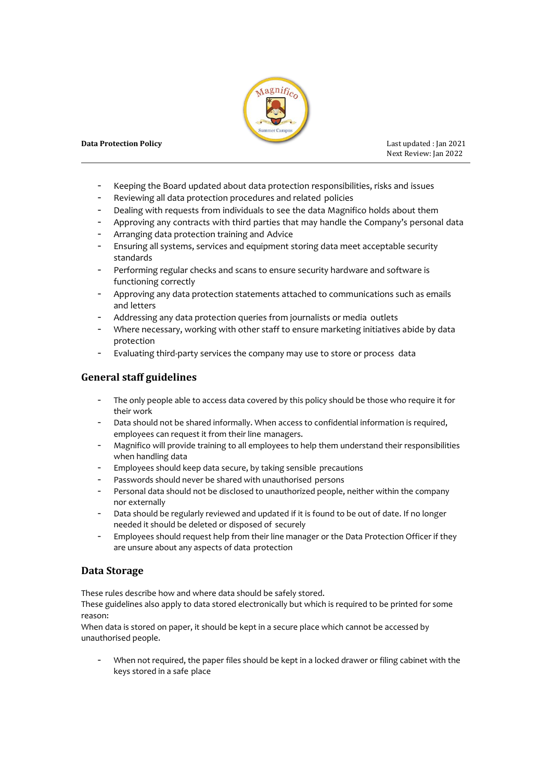

#### **Data Protection Policy Last updated : Jan 2021**

Next Review: Jan 2022

- Keeping the Board updated about data protection responsibilities, risks and issues
- Reviewing all data protection procedures and related policies
- Dealing with requests from individuals to see the data Magnifico holds about them
- Approving any contracts with third parties that may handle the Company's personal data
- Arranging data protection training and Advice
- Ensuring all systems, services and equipment storing data meet acceptable security standards
- Performing regular checks and scans to ensure security hardware and software is functioning correctly
- Approving any data protection statements attached to communications such as emails and letters
- Addressing any data protection queries from journalists or media outlets
- Where necessary, working with other staff to ensure marketing initiatives abide by data protection
- Evaluating third-party services the company may use to store or process data

# **General staff guidelines**

- The only people able to access data covered by this policy should be those who require it for their work
- Data should not be shared informally. When access to confidential information is required, employees can request it from their line managers.
- Magnifico will provide training to all employees to help them understand their responsibilities when handling data
- Employees should keep data secure, by taking sensible precautions
- Passwords should never be shared with unauthorised persons
- Personal data should not be disclosed to unauthorized people, neither within the company nor externally
- Data should be regularly reviewed and updated if it is found to be out of date. If no longer needed it should be deleted or disposed of securely
- Employees should request help from their line manager or the Data Protection Officer if they are unsure about any aspects of data protection

# **Data Storage**

These rules describe how and where data should be safely stored.

These guidelines also apply to data stored electronically but which is required to be printed for some reason:

When data is stored on paper, it should be kept in a secure place which cannot be accessed by unauthorised people.

When not required, the paper files should be kept in a locked drawer or filing cabinet with the keys stored in a safe place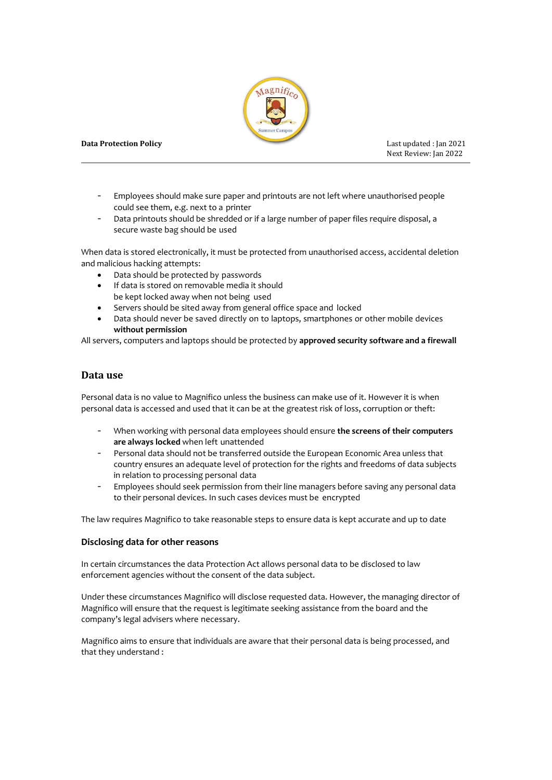

Next Review: Jan 2022

- Employees should make sure paper and printouts are not left where unauthorised people could see them, e.g. next to a printer
- Data printouts should be shredded or if a large number of paper files require disposal, a secure waste bag should be used

When data is stored electronically, it must be protected from unauthorised access, accidental deletion and malicious hacking attempts:

- Data should be protected by passwords
- If data is stored on removable media it should be kept locked away when not being used
- Servers should be sited away from general office space and locked
- Data should never be saved directly on to laptops, smartphones or other mobile devices **without permission**

All servers, computers and laptops should be protected by **approved security software and a firewall**

### **Data use**

Personal data is no value to Magnifico unless the business can make use of it. However it is when personal data is accessed and used that it can be at the greatest risk of loss, corruption or theft:

- When working with personal data employees should ensure **the screens of their computers are always locked** when left unattended
- Personal data should not be transferred outside the European Economic Area unless that country ensures an adequate level of protection for the rights and freedoms of data subjects in relation to processing personal data
- Employees should seek permission from their line managers before saving any personal data to their personal devices. In such cases devices must be encrypted

The law requires Magnifico to take reasonable steps to ensure data is kept accurate and up to date

#### **Disclosing data for other reasons**

In certain circumstances the data Protection Act allows personal data to be disclosed to law enforcement agencies without the consent of the data subject.

Under these circumstances Magnifico will disclose requested data. However, the managing director of Magnifico will ensure that the request is legitimate seeking assistance from the board and the company's legal advisers where necessary.

Magnifico aims to ensure that individuals are aware that their personal data is being processed, and that they understand :